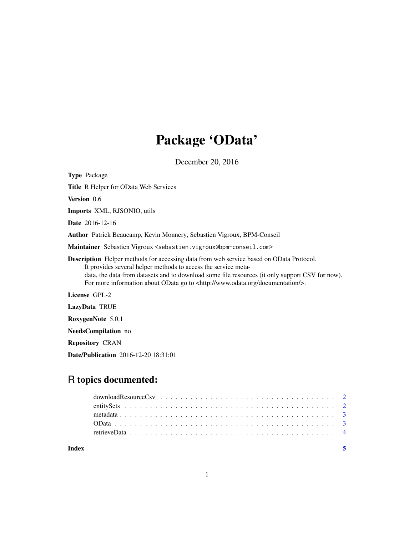## Package 'OData'

December 20, 2016

Type Package Title R Helper for OData Web Services Version 0.6 Imports XML, RJSONIO, utils Date 2016-12-16 Author Patrick Beaucamp, Kevin Monnery, Sebastien Vigroux, BPM-Conseil Maintainer Sebastien Vigroux <sebastien.vigroux@bpm-conseil.com> Description Helper methods for accessing data from web service based on OData Protocol. It provides several helper methods to access the service metadata, the data from datasets and to download some file resources (it only support CSV for now). For more information about OData go to <http://www.odata.org/documentation/>. License GPL-2 LazyData TRUE RoxygenNote 5.0.1

NeedsCompilation no

Repository CRAN

Date/Publication 2016-12-20 18:31:01

### R topics documented:

**Index** [5](#page-4-0)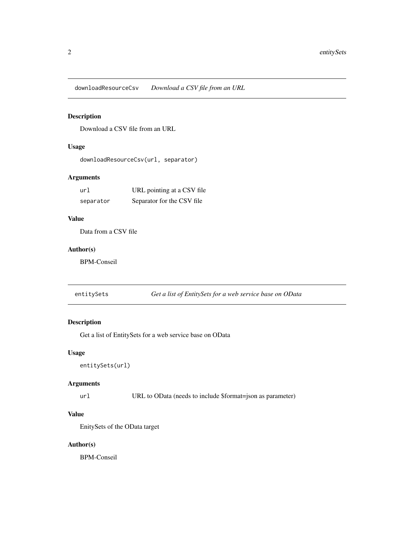<span id="page-1-0"></span>downloadResourceCsv *Download a CSV file from an URL*

#### Description

Download a CSV file from an URL

#### Usage

downloadResourceCsv(url, separator)

#### Arguments

| url       | URL pointing at a CSV file |
|-----------|----------------------------|
| separator | Separator for the CSV file |

#### Value

Data from a CSV file

#### Author(s)

BPM-Conseil

entitySets *Get a list of EntitySets for a web service base on OData*

#### Description

Get a list of EntitySets for a web service base on OData

#### Usage

```
entitySets(url)
```
#### Arguments

url URL to OData (needs to include \$format=json as parameter)

#### Value

EnitySets of the OData target

#### Author(s)

BPM-Conseil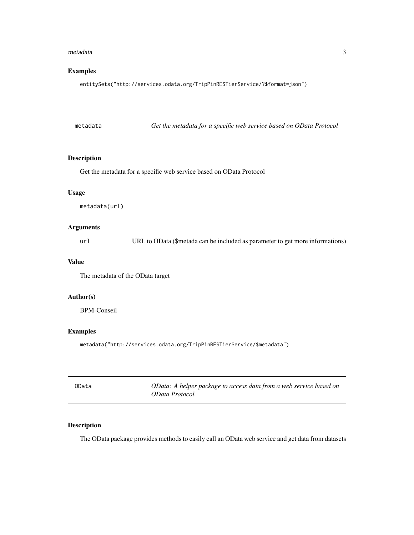#### <span id="page-2-0"></span>metadata 3

#### Examples

entitySets("http://services.odata.org/TripPinRESTierService/?\$format=json")

| metadata | Get the metadata for a specific web service based on OData Protocol |
|----------|---------------------------------------------------------------------|
|          |                                                                     |

#### Description

Get the metadata for a specific web service based on OData Protocol

#### Usage

metadata(url)

#### Arguments

url URL to OData (\$metada can be included as parameter to get more informations)

#### Value

The metadata of the OData target

#### Author(s)

BPM-Conseil

#### Examples

metadata("http://services.odata.org/TripPinRESTierService/\$metadata")

| OData | OData: A helper package to access data from a web service based on |
|-------|--------------------------------------------------------------------|
|       | OData Protocol.                                                    |

#### Description

The OData package provides methods to easily call an OData web service and get data from datasets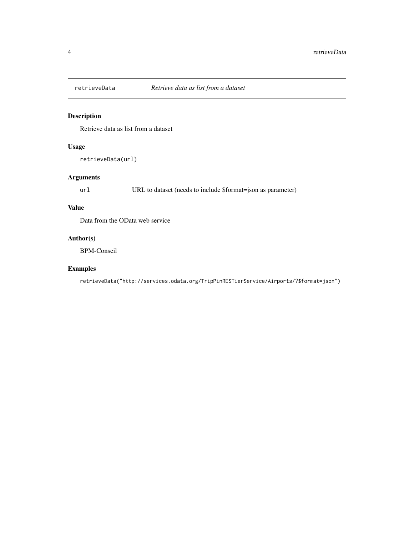<span id="page-3-0"></span>

#### Description

Retrieve data as list from a dataset

#### Usage

```
retrieveData(url)
```
#### Arguments

url URL to dataset (needs to include \$format=json as parameter)

#### Value

Data from the OData web service

#### Author(s)

BPM-Conseil

#### Examples

retrieveData("http://services.odata.org/TripPinRESTierService/Airports/?\$format=json")